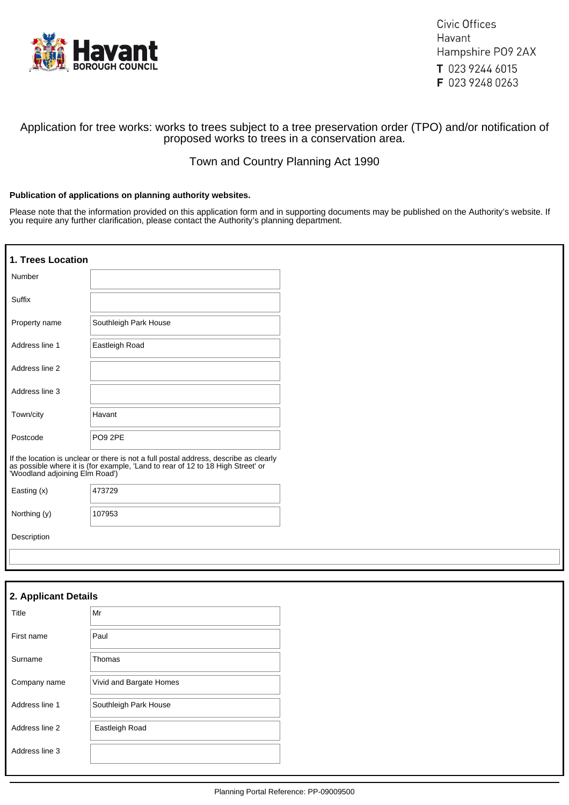

Civic Offices Havant Hampshire PO9 2AX T 023 9244 6015 F 023 9248 0263

## Application for tree works: works to trees subject to a tree preservation order (TPO) and/or notification of proposed works to trees in a conservation area.

# Town and Country Planning Act 1990

### **Publication of applications on planning authority websites.**

Please note that the information provided on this application form and in supporting documents may be published on the Authority's website. If you require any further clarification, please contact the Authority's planning department.

| 1. Trees Location    |                                                                                                                                                                                                      |
|----------------------|------------------------------------------------------------------------------------------------------------------------------------------------------------------------------------------------------|
| Number               |                                                                                                                                                                                                      |
| Suffix               |                                                                                                                                                                                                      |
| Property name        | Southleigh Park House                                                                                                                                                                                |
| Address line 1       | Eastleigh Road                                                                                                                                                                                       |
| Address line 2       |                                                                                                                                                                                                      |
| Address line 3       |                                                                                                                                                                                                      |
| Town/city            | Havant                                                                                                                                                                                               |
| Postcode             | PO9 2PE                                                                                                                                                                                              |
|                      | If the location is unclear or there is not a full postal address, describe as clearly as possible where it is (for example, 'Land to rear of 12 to 18 High Street' or 'Woodland adjoining Elm Road') |
| Easting (x)          | 473729                                                                                                                                                                                               |
| Northing (y)         | 107953                                                                                                                                                                                               |
| Description          |                                                                                                                                                                                                      |
|                      |                                                                                                                                                                                                      |
|                      |                                                                                                                                                                                                      |
| 2. Applicant Details |                                                                                                                                                                                                      |
| Title                | Mr                                                                                                                                                                                                   |

| First name     | Paul                    |
|----------------|-------------------------|
| Surname        | Thomas                  |
| Company name   | Vivid and Bargate Homes |
| Address line 1 | Southleigh Park House   |
| Address line 2 | Eastleigh Road          |
|                |                         |
| Address line 3 |                         |
|                |                         |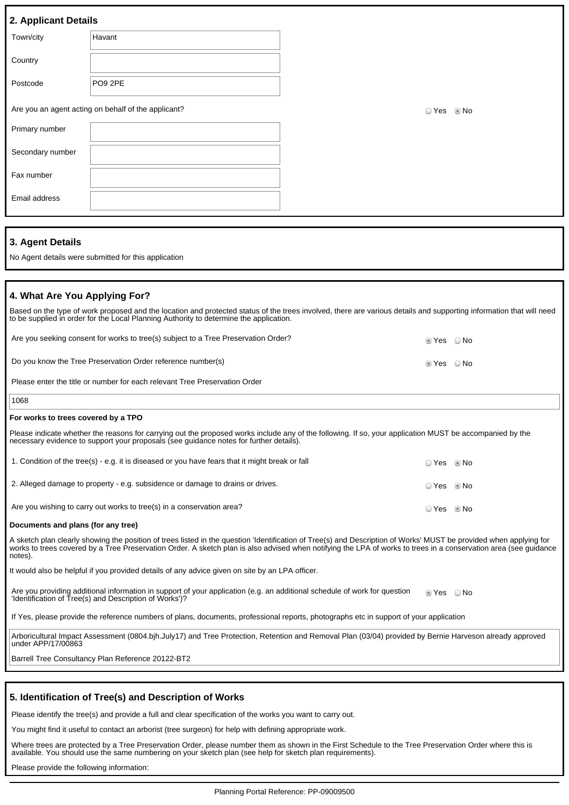|  |  | 2. Applicant Details |
|--|--|----------------------|

| - -              |                                                     |               |
|------------------|-----------------------------------------------------|---------------|
| Town/city        | Havant                                              |               |
| Country          |                                                     |               |
| Postcode         | PO9 2PE                                             |               |
|                  | Are you an agent acting on behalf of the applicant? | ○ Yes<br>© No |
| Primary number   |                                                     |               |
| Secondary number |                                                     |               |

### **3. Agent Details**

Fax number

Email address

No Agent details were submitted for this application

## **4. What Are You Applying For?**

| Based on the type of work proposed and the location and protected status of the trees involved, there are various details and supporting information that will need<br>to be supplied in order for the Local Planning Authority to determine the application. |                        |  |
|---------------------------------------------------------------------------------------------------------------------------------------------------------------------------------------------------------------------------------------------------------------|------------------------|--|
| Are you seeking consent for works to tree(s) subject to a Tree Preservation Order?                                                                                                                                                                            | $\odot$ Yes $\odot$ No |  |
| Do you know the Tree Preservation Order reference number(s)                                                                                                                                                                                                   | ◎ Yes  ◎ No            |  |
| Please enter the title or number for each relevant Tree Preservation Order                                                                                                                                                                                    |                        |  |
| 1068                                                                                                                                                                                                                                                          |                        |  |

#### **For works to trees covered by a TPO**

| Please indicate whether the reasons for carrying out the proposed works include any of the following. If so, your application MUST be accompanied by the<br>necessary evidence to support your proposals (see guidance notes for further details). |                |  |
|----------------------------------------------------------------------------------------------------------------------------------------------------------------------------------------------------------------------------------------------------|----------------|--|
| 1. Condition of the tree(s) - e.g. it is diseased or you have fears that it might break or fall                                                                                                                                                    | O Yes . I No   |  |
| 2. Alleged damage to property - e.g. subsidence or damage to drains or drives.                                                                                                                                                                     | O Yes     ® No |  |

Are you wishing to carry out works to tree(s) in a conservation area? All the state of the Second C Yes No No

#### **Documents and plans (for any tree)**

A sketch plan clearly showing the position of trees listed in the question 'Identification of Tree(s) and Description of Works' MUST be provided when applying for works to trees covered by a Tree Preservation Order. A sketch plan is also advised when notifying the LPA of works to trees in a conservation area (see guidance notes).

It would also be helpful if you provided details of any advice given on site by an LPA officer.

Are you providing additional information in support of your application (e.g. an additional schedule of work for question 'Identification of Tree(s) and Description of Works')? **Yes** ONo

If Yes, please provide the reference numbers of plans, documents, professional reports, photographs etc in support of your application

Arboricultural Impact Assessment (0804.bjh.July17) and Tree Protection, Retention and Removal Plan (03/04) provided by Bernie Harveson already approved under APP/17/00863

Barrell Tree Consultancy Plan Reference 20122-BT2

#### **5. Identification of Tree(s) and Description of Works**

Please identify the tree(s) and provide a full and clear specification of the works you want to carry out.

You might find it useful to contact an arborist (tree surgeon) for help with defining appropriate work.

Where trees are protected by a Tree Preservation Order, please number them as shown in the First Schedule to the Tree Preservation Order where this is available. You should use the same numbering on your sketch plan (see help for sketch plan requirements).

Please provide the following information: